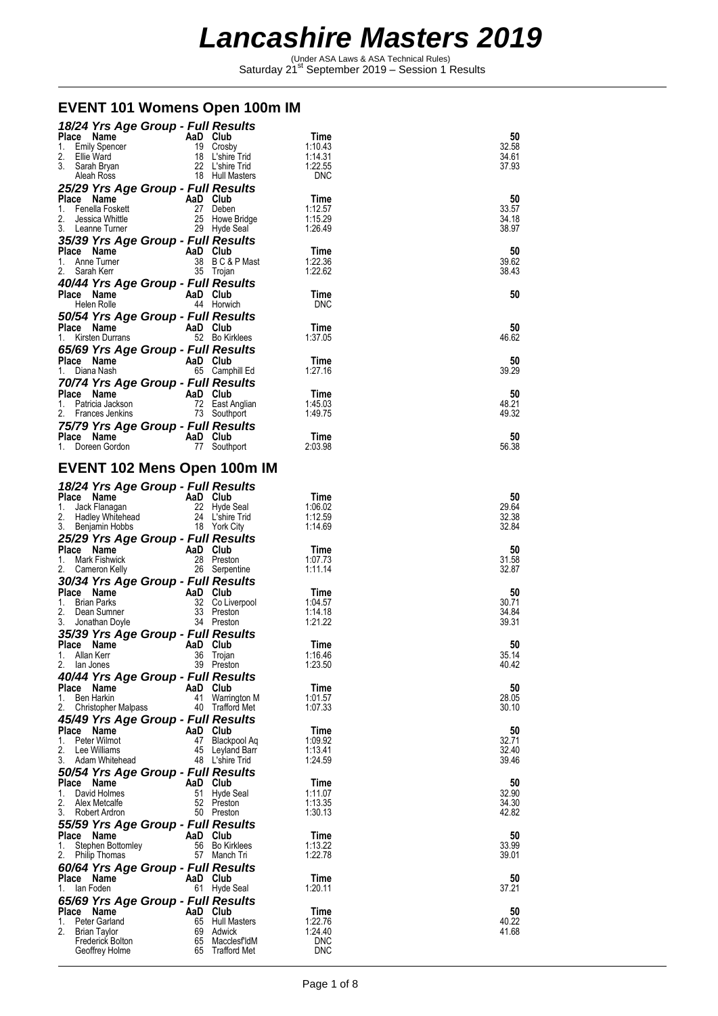Under ASA Laws & ASA Technical Rules)<br>Saturday 21<sup>st</sup> September 2019 – Session 1 Results

### **EVENT 101 Womens Open 100m IM**

|                                                              | 18/24 Yrs Age Group - Full Results                       |                |
|--------------------------------------------------------------|----------------------------------------------------------|----------------|
| AaD Club<br>Place Name                                       | Time                                                     | 50             |
| <b>Emily Spencer</b><br>1.<br>2.<br>Ellie Ward               | 19 Crosby<br>1:10.43<br>18 L'shire Trid<br>1:14.31       | 32.58<br>34.61 |
| 3.<br>Sarah Bryan                                            | 22 L'shire Trid<br>1:22.55                               | 37.93          |
| Aleah Ross                                                   | 18 Hull Masters<br>DNC                                   |                |
| 25/29 Yrs Age Group - Full Results                           |                                                          |                |
| Place Name<br>AaD Club                                       | Time<br>27 Deben                                         | 50             |
| Fenella Foskett<br>1.<br>2.<br>Jessica Whittle               | 1:12.57<br>25 Howe Bridge<br>1:15.29                     | 33.57<br>34.18 |
| 3. Leanne Turner                                             | 29 Hyde Seal<br>1:26.49                                  | 38.97          |
| 35/39 Yrs Age Group - Full Results                           |                                                          |                |
| Place Name                                                   | AaD Club<br>Time                                         | 50             |
| 1. Anne Turner<br>2.<br>Sarah Kerr                           | 38 BC&PMast<br>1:22.36<br>35 Trojan<br>1:22.62           | 39.62<br>38.43 |
| 40/44 Yrs Age Group - Full Results                           |                                                          |                |
| Place Name                                                   | AaD Club<br>Time                                         | 50             |
| Helen Rolle                                                  | 44 Horwich<br><b>DNC</b>                                 |                |
| 50/54 Yrs Age Group - Full Results                           |                                                          |                |
| Place Name<br>Kirsten Durrans<br>1.                          | AaD Club<br>Time<br>52 Bo Kirklees<br>1:37.05            | 50<br>46.62    |
| 65/69 Yrs Age Group - Full Results                           |                                                          |                |
| <b>Place Name</b><br>1 Diana Nash                            | AaD Club<br>Time                                         | 50             |
| Diana Nash<br>1.                                             | 65 Camphill Ed<br>1:27.16                                | 39.29          |
| 70/74 Yrs Age Group - Full Results                           |                                                          |                |
| Place Name<br>1.<br>Patricia Jackson                         | AaD Club<br>Time<br>72 East Anglian<br>1:45.03           | 50<br>48.21    |
| 2. Frances Jenkins                                           | 73 Southport<br>1:49.75                                  | 49.32          |
| 75/79 Yrs Age Group - Full Results                           |                                                          |                |
| Place Name                                                   | AaD Club<br>Time                                         | 50             |
| 1. Doreen Gordon                                             | 77 Southport<br>2:03.98                                  | 56.38          |
| <b>EVENT 102 Mens Open 100m IM</b>                           |                                                          |                |
|                                                              |                                                          |                |
| 18/24 Yrs Age Group - Full Results<br>Place Name<br>AaD Club | Time                                                     | 50             |
| 1.<br>Jack Flanagan                                          | 22 Hyde Seal<br>1:06.02                                  | 29.64          |
| 2.<br>Hadley Whitehead                                       | 24 L'shire Trid<br>1:12.59                               | 32.38          |
| 18 York City<br>3.<br>Benjamin Hobbs                         | 1:14.69                                                  | 32.84          |
| 25/29 Yrs Age Group - Full Results                           |                                                          |                |
|                                                              |                                                          |                |
| Place Name<br>Mark Fishwick<br>1.                            | AaD Club<br>Time<br>28 Preston<br>1:07.73                | 50<br>31.58    |
| 2.<br>Cameron Kelly                                          | 26 Serpentine<br>1:11.14                                 | 32.87          |
| 30/34 Yrs Age Group - Full Results                           |                                                          |                |
| Place Name                                                   | AaD Club<br>Time                                         | 50             |
| 1. Brian Parks<br>2.<br>Dean Sumner                          | 32 Co Liverpool<br>1:04.57<br>33 Preston<br>1:14.18      | 30.71<br>34.84 |
| 3. Jonathan Doyle                                            | 34 Preston<br>1:21.22                                    | 39.31          |
| 35/39 Yrs Age Group - Full Results                           |                                                          |                |
| Place Name                                                   | AaD Club<br>Time<br>1:16.46                              | 50             |
| 36<br>Allan Kerr<br>1.<br>2.<br>lan Jones                    | Trojan<br>39 Preston<br>1:23.50                          | 35.14<br>40.42 |
| 40/44 Yrs Age Group - Full Results                           |                                                          |                |
| Place Name                                                   | AaD Club<br>Time                                         | 50             |
| Ben Harkin<br>41<br>1.<br>40<br>2.                           | Warrington M<br>1:01.57<br>Trafford Met<br>1:07.33       | 28.05<br>30.10 |
| <b>Christopher Malpass</b>                                   |                                                          |                |
| 45/49 Yrs Age Group - Full Results<br>Place Name             | AaD Club<br>Time                                         | 50             |
| Peter Wilmot<br>1.                                           | 47 Blackpool Aq<br>1:09.92                               | 32.71          |
| 2.<br>Lee Williams<br>3.<br>Adam Whitehead                   | 45 Leyland Barr<br>1:13.41<br>48 L'shire Trid<br>1:24.59 | 32.40<br>39.46 |
| 50/54 Yrs Age Group - Full Results                           |                                                          |                |
| Place Name                                                   | AaD Club<br>Time                                         | 50             |
| David Holmes<br>1.                                           | 51 Hyde Seal<br>1:11.07                                  | 32.90          |
| 2.<br>Alex Metcalfe<br>3.<br>Robert Ardron                   | 52 Preston<br>1:13.35<br>50 Preston<br>1:30.13           | 34.30<br>42.82 |
|                                                              |                                                          |                |
| 55/59 Yrs Age Group - Full Results<br>Place Name             | AaD Club<br>Time                                         | 50             |
| Stephen Bottomley<br>1.                                      | 56 Bo Kirklees<br>1:13.22                                | 33.99          |
| 2.<br><b>Philip Thomas</b>                                   | 57 Manch Tri<br>1:22.78                                  | 39.01          |
| 60/64 Yrs Age Group - Full Results<br>Place Name             | AaD Club<br>Time                                         | 50             |
| lan Foden<br>1.                                              | 61 Hyde Seal<br>1:20.11                                  | 37.21          |
| 65/69 Yrs Age Group - Full Results                           |                                                          |                |
| Place Name                                                   | AaD Club<br>Time                                         | 50             |
| Peter Garland<br>1.<br>2.<br><b>Brian Taylor</b>             | 65 Hull Masters<br>1:22.76<br>69 Adwick<br>1:24.40       | 40.22<br>41.68 |
| 65<br>Frederick Bolton<br>Geoffrey Holme<br>65               | <b>DNC</b><br>MacclesfIdM<br><b>DNC</b><br>Trafford Met  |                |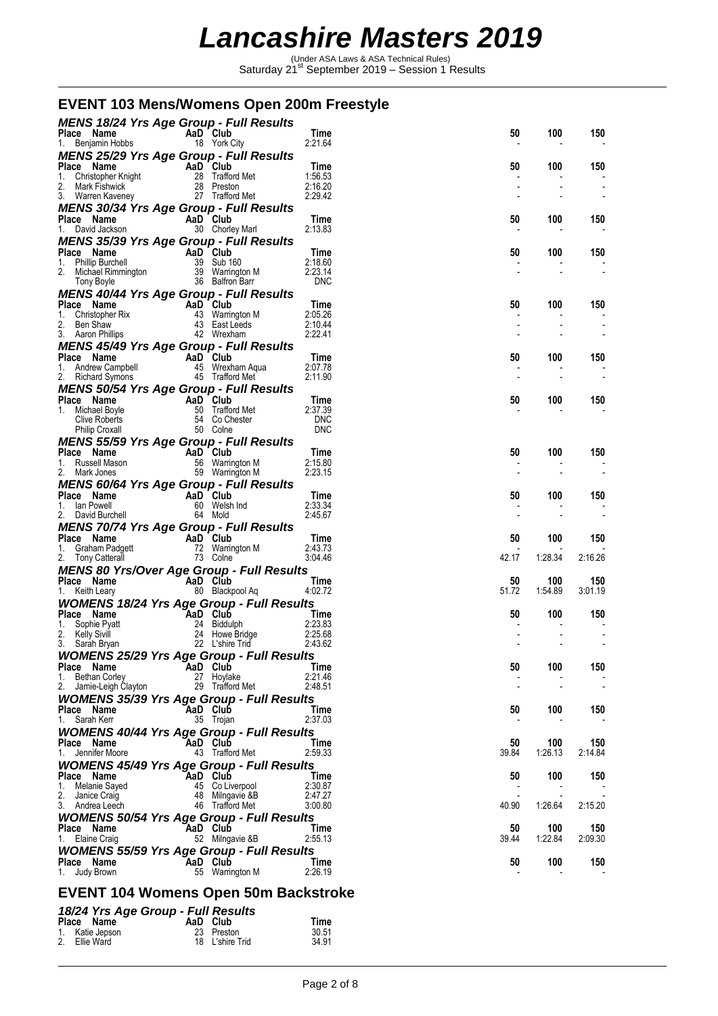Under ASA Laws & ASA Technical Rules)<br>Saturday 21<sup>st</sup> September 2019 – Session 1 Results

### **EVENT 103 Mens/Womens Open 200m Freestyle**

| <b>MENS 18/24 Yrs Age Group - Full Results</b>                                                                                              |                                                          |                       |             |                |                          |
|---------------------------------------------------------------------------------------------------------------------------------------------|----------------------------------------------------------|-----------------------|-------------|----------------|--------------------------|
| Place Name<br>Benjamin Hobbs<br>1.                                                                                                          | AaD Club<br>18 York City                                 | Time<br>2:21.64       | 50          | 100            | 150                      |
| <b>MENS 25/29 Yrs Age Group - Full Results</b>                                                                                              |                                                          |                       |             |                |                          |
| Place Name                                                                                                                                  | AaD Club                                                 | Time                  | 50          | 100            | 150                      |
| <b>Ce Name</b><br>Christopher Knight<br>Mark Fishwick<br>Mark Fishwick<br>28 Preston<br>2.                                                  |                                                          | 1:56.53<br>2:16.20    |             |                |                          |
| 3. Warren Kaveney 27 Trafford Met                                                                                                           |                                                          | 2:29.42               |             |                |                          |
| <b>MENS 30/34 Yrs Age Group - Full Results</b>                                                                                              |                                                          |                       |             |                |                          |
| Place Name                                                                                                                                  | AaD Club                                                 | Time                  | 50          | 100            | 150                      |
| 1. David Jackson                                                                                                                            | 30 Chorley Marl                                          | 2:13.83               |             |                |                          |
| <b>MENS 35/39 Yrs Age Group - Full Results</b><br>Place Name                                                                                | AaD Club                                                 | Time                  | 50          | 100            | 150                      |
| 1.                                                                                                                                          |                                                          | 2:18.60               |             |                |                          |
| Phillip Burchell<br>Michael Rimmington 39 Warrington M<br>Tony Boyle 36 Balfron Barr<br>2.                                                  |                                                          | 2:23.14<br><b>DNC</b> |             |                | $\overline{\phantom{a}}$ |
| MENS 40/44 Yrs Age Group - Full Results                                                                                                     |                                                          |                       |             |                |                          |
|                                                                                                                                             |                                                          | Time                  | 50          | 100            | 150                      |
|                                                                                                                                             |                                                          | 2:05.26<br>2:10.44    |             |                |                          |
| Place Name<br>1. Christopher Rix<br>2. Ben Shaw<br>3. Aaron Phillips<br>3. Aaron Phillips<br>42 Wrexham                                     |                                                          | 2:22.41               |             |                |                          |
| <b>MENS 45/49 Yrs Age Group - Full Results</b>                                                                                              |                                                          |                       |             |                |                          |
| Prace Name<br>1. Andrew Campbell<br>2. Richard Symons<br>2. Richard Symons<br>2. Richard Symons<br>45 Trafford Met                          |                                                          | Time<br>2:07.78       | 50          | 100            | 150                      |
|                                                                                                                                             |                                                          | 2:11.90               |             |                |                          |
| MENS 50/54 Yrs Age Group - Full Results                                                                                                     |                                                          |                       |             |                |                          |
| Place Name                                                                                                                                  | AaD Club<br>50 Trafford Met<br>54 Co Chester<br>50 Colne | Time<br>2:37.39       | 50          | 100            | 150                      |
| Michael Boyle<br>1.<br><b>Clive Roberts</b>                                                                                                 | 54 Co Chester                                            | <b>DNC</b>            |             |                |                          |
| <b>Philip Croxall</b>                                                                                                                       | 50 Colne                                                 | <b>DNC</b>            |             |                |                          |
| <b>MENS 55/59 Yrs Age Group - Full Results</b>                                                                                              |                                                          |                       |             |                |                          |
| Place Name<br>1. Russell Mason                                                                                                              | AaD Club<br>56 Warrington M                              | Time<br>2:15.80       | 50          | 100            | 150                      |
| 2. Mark Jones                                                                                                                               | 59 Warrington M                                          | 2:23.15               |             |                |                          |
| <b>MENS 60/64 Yrs Age Group - Full Results</b>                                                                                              |                                                          |                       |             |                |                          |
| Place Name<br>1. Ian Powell                                                                                                                 | AaD Club<br>60 Welsh Ind                                 | Time<br>2:33.34       | 50          | 100            | 150                      |
| 2. David Burchell                                                                                                                           | 64 Mold                                                  | 2:45.67               |             |                |                          |
| <b>MENS 70/74 Yrs Age Group - Full Results</b>                                                                                              |                                                          |                       |             |                |                          |
| Place Name<br><b>Ce Name <math>\begin{array}{ccc}\n\text{Graham Padgett} \\ \text{Tom} &amp; \text{Cateral}\n\end{array}</math></b><br>1.   | AaD Club<br>72 Warrington M                              | Time<br>2:43.73       | 50          | 100            | 150                      |
| 2. Tony Catterall                                                                                                                           | 73 Colne                                                 | 3:04.46               | 42.17       | 1:28.34        | 2:16.26                  |
| <b>MENS 80 Yrs/Over Age Group - Full Results</b>                                                                                            |                                                          |                       |             |                |                          |
| Place Name                                                                                                                                  | AaD Club                                                 | Time<br>4:02.72       | 50<br>51.72 | 100<br>1:54.89 | 150<br>3:01.19           |
| 1. Keith Leary<br><b>WOMENS 18/24 Yrs Age Group - Full Results</b>                                                                          | 80 Blackpool Aq                                          |                       |             |                |                          |
| Place Name<br>1. Sophie Pyatt<br>2. Kelly Sivill<br>3. Sarah Bryan<br>3. Sarah Bryan<br>24 Howe Bridge<br>24 Howe Bridge<br>27 Lishing Trid |                                                          | Time                  | 50          | 100            | 150                      |
|                                                                                                                                             |                                                          | 2:23.83               |             |                |                          |
|                                                                                                                                             |                                                          | 2:25.68<br>2:43.62    |             |                |                          |
| <b>WOMENS 25/29 Yrs Age Group - Full Results</b>                                                                                            |                                                          |                       |             |                |                          |
| Place Name                                                                                                                                  | AaD Club                                                 | Time                  | 50          | 100            | 150                      |
| 1. Bethan Corley<br>2. Jamie-Leigh Clayton                                                                                                  | 27 Hoylake<br>29 Trafford Met                            | 2:21.46<br>2:48.51    |             |                |                          |
| <b>WOMENS 35/39 Yrs Age Group - Full Results</b>                                                                                            |                                                          |                       |             |                |                          |
| Place Name                                                                                                                                  | AaD Club                                                 | Time                  | 50          | 100            | 150                      |
| 1. Sarah Kerr<br><b>WOMENS 40/44 Yrs Age Group - Full Results</b>                                                                           | 35 Trojan                                                | 2:37.03               |             |                |                          |
| Place Name                                                                                                                                  | AaD Club                                                 | Time                  | 50          | 100            | 150                      |
| 1. Jennifer Moore                                                                                                                           | 43 Trafford Met                                          | 2:59.33               | 39.84       | 1:26.13        | 2:14.84                  |
| <b>WOMENS 45/49 Yrs Age Group - Full Results</b>                                                                                            |                                                          |                       |             |                |                          |
| Place Name<br>1. Melanie Sayed                                                                                                              | AaD Club<br>45 Co Liverpool                              | Time<br>2:30.87       | 50          | 100            | 150                      |
| Janice Craig                                                                                                                                | 48 Milngavie &B                                          | 2:47.27               |             |                |                          |
| 3. Andrea Leech                                                                                                                             | 46 Trafford Met                                          | 3:00.80               | 40.90       | 1:26.64        | 2:15.20                  |
| <b>WOMENS 50/54 Yrs Age Group - Full Results</b><br>Place Name                                                                              | AaD Club                                                 | Time                  | 50          | 100            | 150                      |
| 1. Elaine Craig                                                                                                                             | 52 Milngavie &B                                          | 2:55.13               | 39.44       | 1:22.84        | 2:09.30                  |
| <b>WOMENS 55/59 Yrs Age Group - Full Results</b>                                                                                            |                                                          |                       |             |                |                          |
| Place Name<br>1. Judy Brown                                                                                                                 | AaD Club<br>55 Warrington M                              | Time<br>2:26.19       | 50          | 100            | 150                      |
|                                                                                                                                             |                                                          |                       |             |                |                          |

### **EVENT 104 Womens Open 50m Backstroke**

### *18/24 Yrs Age Group - Full Results*

| Place Name      | AaD Club        | Time  |
|-----------------|-----------------|-------|
| 1. Katie Jepson | 23 Preston      | 30.51 |
| 2. Ellie Ward   | 18 L'shire Trid | 34.91 |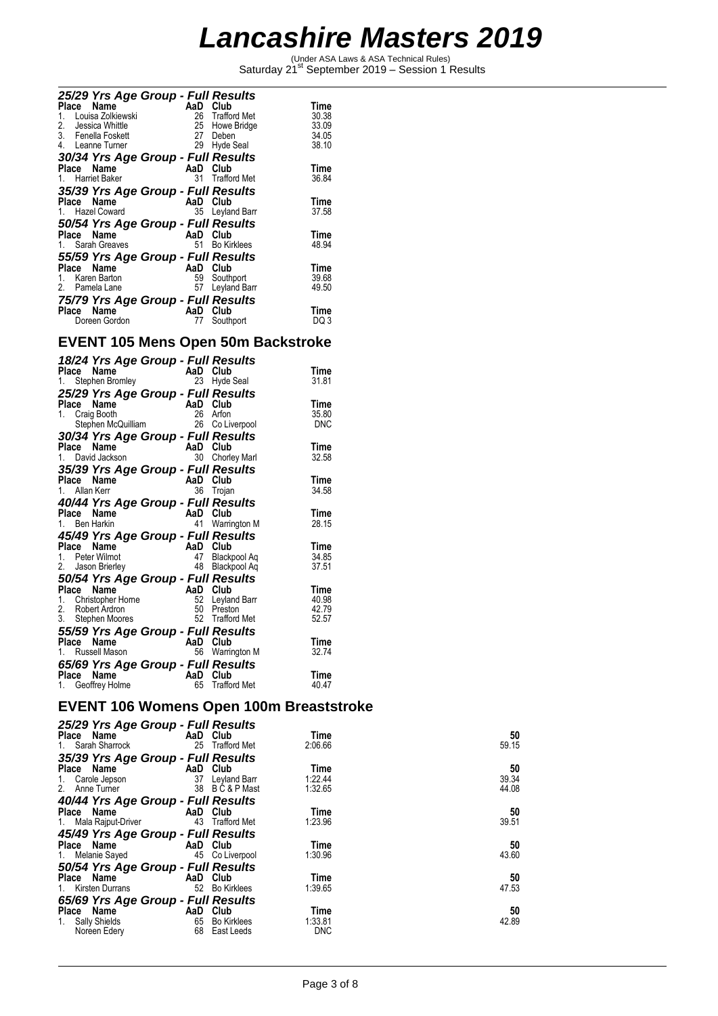Under ASA Laws & ASA Technical Rules)<br>Saturday 21<sup>st</sup> September 2019 – Session 1 Results

| 25/29 Yrs Age Group - Full Results |     |                     |       |
|------------------------------------|-----|---------------------|-------|
| Place<br>Name                      | AaD | Club                | Time  |
| Louisa Zolkiewski<br>1.            | 26  | <b>Trafford Met</b> | 30.38 |
| 2.<br>Jessica Whittle              | 25  | Howe Bridge         | 33.09 |
| 3. Fenella Foskett                 | 27  | Deben               | 34.05 |
| 4. Leanne Turner                   | 29  | Hyde Seal           | 38.10 |
| 30/34 Yrs Age Group - Full Results |     |                     |       |
| Name<br>Place                      | AaD | Club                | Time  |
| <b>Harriet Baker</b>               | 31  | <b>Trafford Met</b> | 36.84 |
| 35/39 Yrs Age Group - Full Results |     |                     |       |
| Place Name                         |     | AaD Club            | Time  |
| 1. Hazel Coward                    |     | 35 Leyland Barr     | 37.58 |
|                                    |     |                     |       |
| 50/54 Yrs Age Group - Full Results |     |                     |       |
| Place Name                         | AaD | Club                | Time  |
| 1. Sarah Greaves                   | 51  | <b>Bo Kirklees</b>  | 48.94 |
| 55/59 Yrs Age Group - Full Results |     |                     |       |
| Name<br>Place                      | AaD | Club                | Time  |
| 1. Karen Barton                    | 59  | Southport           | 39.68 |
| 2.<br>Pamela Lane                  | 57  | Leyland Barr        | 49.50 |
| 75/79 Yrs Age Group - Full Results |     |                     |       |
| Place Name                         | AaD | Club                | Time  |
|                                    |     |                     |       |
| Doreen Gordon                      | 77  | Southport           | DQ 3  |

### **EVENT 105 Mens Open 50m Backstroke**

| 18/24 Yrs Age Group - Full Results<br>Place Name<br>1. Stephen Bromley                                                                  | AaD<br>23            | Club<br>Hyde Seal                                  | Time<br>31.81                   |
|-----------------------------------------------------------------------------------------------------------------------------------------|----------------------|----------------------------------------------------|---------------------------------|
| 25/29 Yrs Age Group - Full Results<br>Place Name<br>Craig Booth<br>$1_{\ldots}$<br>Stephen McQuilliam                                   | AaD<br>26            | Club<br>26 Arfon<br>Co Liverpool                   | Time<br>35.80<br><b>DNC</b>     |
| 30/34 Yrs Age Group - Full Results<br>Name<br>Place<br>David Jackson                                                                    | AaD<br>30            | Club<br><b>Chorley Marl</b>                        | Time<br>32.58                   |
| 35/39 Yrs Age Group - Full Results<br>Place<br>Name<br>1. Allan Kerr<br>40/44 Yrs Age Group - Full Results                              | AaD<br>36            | Club<br>Trojan                                     | Time<br>34.58                   |
| Place Name<br>1. Ben Harkin<br>45/49 Yrs Age Group - Full Results                                                                       | AaD Club<br>41       | Warrington M                                       | Time<br>28.15                   |
| Place<br>Name<br>1. Peter Wilmot<br>2. Jason Brierley                                                                                   | AaD Club<br>47<br>48 | Blackpool Ag<br>Blackpool Aq                       | Time<br>34.85<br>37.51          |
| 50/54 Yrs Age Group - Full Results<br>Place<br>Name<br>Christopher Horne<br>$1_{\ldots}$<br>2.<br>Robert Ardron<br>Stephen Moores<br>3. | AaD<br>52<br>50      | Club<br>Leyland Barr<br>Preston<br>52 Trafford Met | Time<br>40.98<br>42.79<br>52.57 |
| 55/59 Yrs Age Group - Full Results<br>Place<br>Name<br>1. Russell Mason                                                                 | AaD                  | Club<br>56 Warrington M                            | Time<br>32.74                   |
| 65/69 Yrs Age Group - Full Results<br>Place<br>Name<br>1. Geoffrey Holme                                                                | AaD Club<br>65       | <b>Trafford Met</b>                                | Time<br>40.47                   |

#### **EVENT 106 Womens Open 100m Breaststroke**  *25/29 Yrs Age Group - Full Results*

| 25/29 Yrs Age Group - Full Results                    |          |                 |            |       |
|-------------------------------------------------------|----------|-----------------|------------|-------|
| Place Name AaD Club                                   |          |                 | Time       | 50    |
| 1. Sarah Sharrock                                     |          | 25 Trafford Met | 2:06.66    | 59.15 |
| 35/39 Yrs Age Group - Full Results                    |          |                 |            |       |
| Place Name                                            | AaD Club |                 | Time       | 50    |
| 1. Carole Jepson 37 Leyland Barr                      |          |                 | 1:22.44    | 39.34 |
| 2. Anne Turner 38 B C & P Mast                        |          |                 | 1:32.65    | 44.08 |
| 40/44 Yrs Age Group - Full Results                    |          |                 |            |       |
| <b>Example 2</b> AaD Club<br>Place Name               |          |                 | Time       | 50    |
| 1. Mala Rajput-Driver                                 |          | 43 Trafford Met | 1:23.96    | 39.51 |
| 45/49 Yrs Age Group - Full Results                    |          |                 |            |       |
| Place Name AaD Club                                   |          |                 | Time       | 50    |
| 1. Melanie Sayed                                      |          | 45 Co Liverpool | 1:30.96    | 43.60 |
| 50/54 Yrs Age Group - Full Results                    |          |                 |            |       |
| Place Name                                            | AaD Club |                 | Time       | 50    |
| 1. Kirsten Durrans                                    |          | 52 Bo Kirklees  | 1:39.65    | 47.53 |
| 65/69 Yrs Age Group - Full Results                    |          |                 |            |       |
| Place Name                                            | AaD Club |                 | Time       | 50    |
| Sally Shields <b>Sally</b> Shields <b>Sally</b><br>1. |          | 65 Bo Kirklees  | 1:33.81    | 42.89 |
| Noreen Edery                                          | 68       | East Leeds      | <b>DNC</b> |       |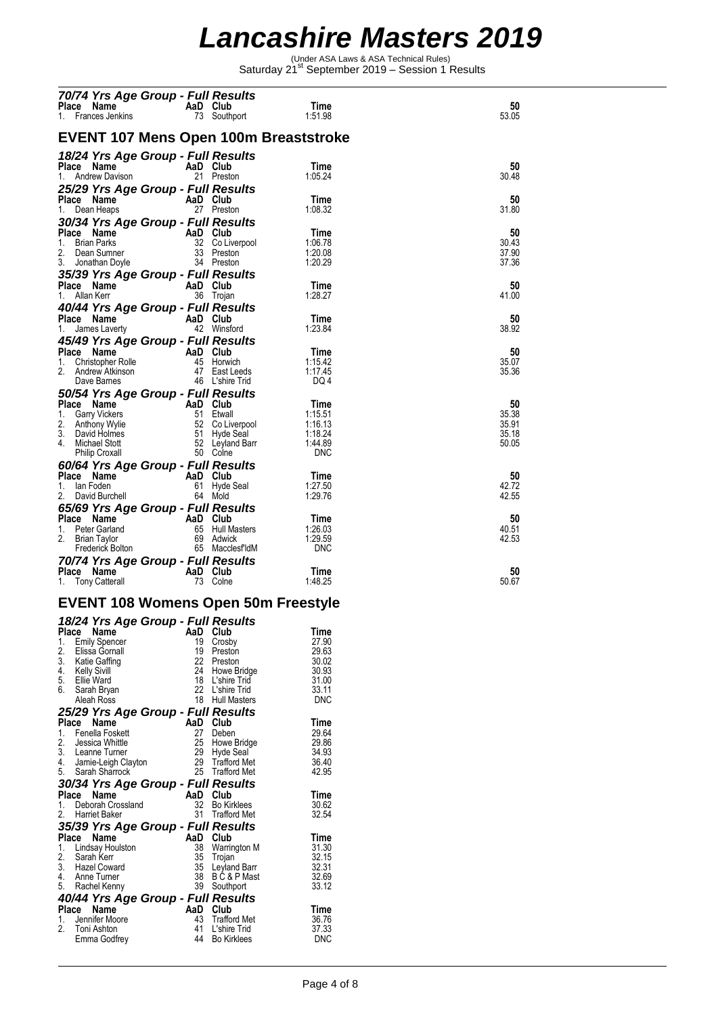Under ASA Laws & ASA Technical Rules)<br>Saturday 21<sup>st</sup> September 2019 – Session 1 Results

|                                                                                                                                                                                                                                                          | 70/74 Yrs Age Group - Full Results       |                    |                |
|----------------------------------------------------------------------------------------------------------------------------------------------------------------------------------------------------------------------------------------------------------|------------------------------------------|--------------------|----------------|
| Place Name                                                                                                                                                                                                                                               | ins <b>AaD Club</b><br>73 Southi         | Time               | 50             |
| 1. Frances Jenkins                                                                                                                                                                                                                                       | 73 Southport                             | 1:51.98            | 53.05          |
| EVENT 107 Mens Open 100m Breaststroke                                                                                                                                                                                                                    |                                          |                    |                |
| 18/24 Yrs Age Group - Full Results                                                                                                                                                                                                                       |                                          |                    |                |
| <b>Place Name</b><br>1. Andrew Davison <b>AaD Club</b><br>21 Presto                                                                                                                                                                                      |                                          | Time               | 50             |
|                                                                                                                                                                                                                                                          | 21 Preston                               | 1:05.24            | 30.48          |
| 25/29 Yrs Age Group - Full Results                                                                                                                                                                                                                       |                                          |                    |                |
| Place Name AaD Club<br>1. Dean Heaps 27 Presto                                                                                                                                                                                                           | 27 Preston                               | Time<br>1:08.32    | 50<br>31.80    |
| 30/34 Yrs Age Group - Full Results                                                                                                                                                                                                                       |                                          |                    |                |
| Place Name<br>1. Brian Parks<br>1. Brian Parks<br>2. Dean Sumner<br>3. Jonathan Doyle<br>3. Jonathan Doyle<br>3. Preston<br>3. Preston                                                                                                                   |                                          | Time               | 50             |
|                                                                                                                                                                                                                                                          |                                          | 1:06.78            | 30.43          |
|                                                                                                                                                                                                                                                          |                                          | 1:20.08<br>1:20.29 | 37.90<br>37.36 |
| 35/39 Yrs Age Group - Full Results                                                                                                                                                                                                                       |                                          |                    |                |
| <b>Place Name</b><br>1. Allan Kerr <b>Carlos Communication</b> 36 Trojan                                                                                                                                                                                 |                                          | Time               | 50             |
|                                                                                                                                                                                                                                                          |                                          | 1:28.27            | 41.00          |
| 40/44 Yrs Age Group - Full Results                                                                                                                                                                                                                       |                                          |                    |                |
| <b>Place Name</b><br>1. James Laverty <b>AaD Club</b><br>42 Winsford                                                                                                                                                                                     |                                          | Time<br>1:23.84    | 50<br>38.92    |
| 45/49 Yrs Age Group - Full Results                                                                                                                                                                                                                       |                                          |                    |                |
| 1912<br>Place Name<br>1. Christopher Rolle<br>2. Andrew Atkinson<br>2. Andrew Atkinson<br>2. Andrew Atkinson<br>2. Andrew Atkinson<br>46 L'shire Trid                                                                                                    |                                          | Time               | 50             |
|                                                                                                                                                                                                                                                          |                                          | 1:15.42<br>1:17.45 | 35.07<br>35.36 |
|                                                                                                                                                                                                                                                          |                                          | DQ 4               |                |
| 50/54 Yrs Age Group - Full Results                                                                                                                                                                                                                       |                                          |                    |                |
| Place Name<br>1. Garry Vickers<br>2. Anthony Wylie<br>3. David Holmes<br>4. Michael Stott<br>1. Garry Wylie<br>51 Etwall<br>52 Co Liverpool<br>4. Michael Stott<br>52 Leyland Barr<br>7. Special Barr<br>7. Special Barr<br>7. Special Barr<br>7. Specia |                                          | Time               | 50             |
|                                                                                                                                                                                                                                                          |                                          | 1:15.51<br>1:16.13 | 35.38<br>35.91 |
|                                                                                                                                                                                                                                                          |                                          | 1:18.24            | 35.18          |
|                                                                                                                                                                                                                                                          |                                          | 1:44.89            | 50.05          |
|                                                                                                                                                                                                                                                          |                                          | <b>DNC</b>         |                |
|                                                                                                                                                                                                                                                          |                                          | Time               | 50             |
| Place Name<br>1. Ian Foden<br>2. David Burchell<br>2. David Burchell<br>2. David Burchell<br>2. David Burchell<br>2. David Burchell<br>2. David Burchell<br>2. David Burchell<br>2. David Burchell<br>2. David Burchell<br>2. David Burchell<br>2. Dav   |                                          | 1:27.50            | 42.72          |
|                                                                                                                                                                                                                                                          |                                          | 1:29.76            | 42.55          |
| 65/69 Yrs Age Group - Full Results                                                                                                                                                                                                                       |                                          |                    |                |
|                                                                                                                                                                                                                                                          |                                          | Time<br>1:26.03    | 50<br>40.51    |
|                                                                                                                                                                                                                                                          |                                          |                    |                |
|                                                                                                                                                                                                                                                          |                                          | 1:29.59            | 42.53          |
| <b>Place Name</b><br>1. Peter Garland<br>2. Brian Taylor 69 Adwick<br>Frederick Bolton 65 MacclesfldM                                                                                                                                                    |                                          | <b>DNC</b>         |                |
|                                                                                                                                                                                                                                                          |                                          |                    |                |
| 70/74 Yrs Age Group - Full Results<br><sup>Place</sup> Name                                   AaD   Club<br>Place Name                                                                                                                                   |                                          | Time<br>1:48.25    | 50             |
| 1. Tony Catterall                                                                                                                                                                                                                                        | AaD Club<br>73 Colne                     |                    | 50.67          |
| <b>EVENT 108 Womens Open 50m Freestyle</b>                                                                                                                                                                                                               |                                          |                    |                |
|                                                                                                                                                                                                                                                          |                                          |                    |                |
| 18/24 Yrs Age Group - Full Results<br>Place Name                                                                                                                                                                                                         | AaD Club                                 | <b>TI</b><br>Time  |                |
| 1.<br><b>Emily Spencer</b>                                                                                                                                                                                                                               | 19 Crosby                                | 27.90              |                |
| 2.<br>Elissa Gornall<br>3.<br>Katie Gaffing                                                                                                                                                                                                              | 19 Preston<br>22 Preston                 | 29.63<br>30.02     |                |
| 4.<br><b>Kelly Sivill</b>                                                                                                                                                                                                                                | 24<br>Howe Bridge                        | 30.93              |                |
| Ellie Ward<br>5.<br>Sarah Bryan<br>6.                                                                                                                                                                                                                    | 18 L'shire Trid<br>22 L'shire Trid       | 31.00<br>33.11     |                |
| Aleah Ross                                                                                                                                                                                                                                               | 18 Hull Masters                          | <b>DNC</b>         |                |
| 25/29 Yrs Age Group - Full Results                                                                                                                                                                                                                       |                                          |                    |                |
| Place Name                                                                                                                                                                                                                                               | AaD Club                                 | Time               |                |
| Fenella Foskett<br>1.<br>2.<br>Jessica Whittle                                                                                                                                                                                                           | 27 Deben<br>25<br>Howe Bridge            | 29.64<br>29.86     |                |
| 3. Leanne Turner                                                                                                                                                                                                                                         | 29 Hyde Seal                             | 34.93              |                |
| 4.<br>Jamie-Leigh Clayton                                                                                                                                                                                                                                | 29<br><b>Trafford Met</b>                | 36.40              |                |
| 5.<br>Sarah Sharrock                                                                                                                                                                                                                                     | 25 Trafford Met                          | 42.95              |                |
| 30/34 Yrs Age Group - Full Results<br>Place Name                                                                                                                                                                                                         | AaD Club                                 | Time               |                |
| Deborah Crossland<br>1.                                                                                                                                                                                                                                  | 32 Bo Kirklees                           | 30.62              |                |
| 2.<br><b>Harriet Baker</b>                                                                                                                                                                                                                               | 31 Trafford Met                          | 32.54              |                |
| 35/39 Yrs Age Group - Full Results                                                                                                                                                                                                                       |                                          | Time               |                |
| Place Name<br>1.<br>Lindsay Houlston                                                                                                                                                                                                                     | AaD Club<br>38<br>Warrington M           | 31.30              |                |
| 2.<br>Sarah Kerr                                                                                                                                                                                                                                         | 35<br>Trojan                             | 32.15              |                |
| 3. Hazel Coward<br>4. Anne Turner                                                                                                                                                                                                                        | 35 Leyland Barr<br>38 BC&PMast           | 32.31<br>32.69     |                |
| 5.<br>Rachel Kenny                                                                                                                                                                                                                                       | 39 Southport                             | 33.12              |                |
| 40/44 Yrs Age Group - Full Results                                                                                                                                                                                                                       |                                          |                    |                |
| Place Name                                                                                                                                                                                                                                               | AaD Club                                 | Time               |                |
| Jennifer Moore<br>1.<br>2.<br>Toni Ashton                                                                                                                                                                                                                | 43<br>Trafford Met<br>41<br>L'shire Trid | 36.76<br>37.33     |                |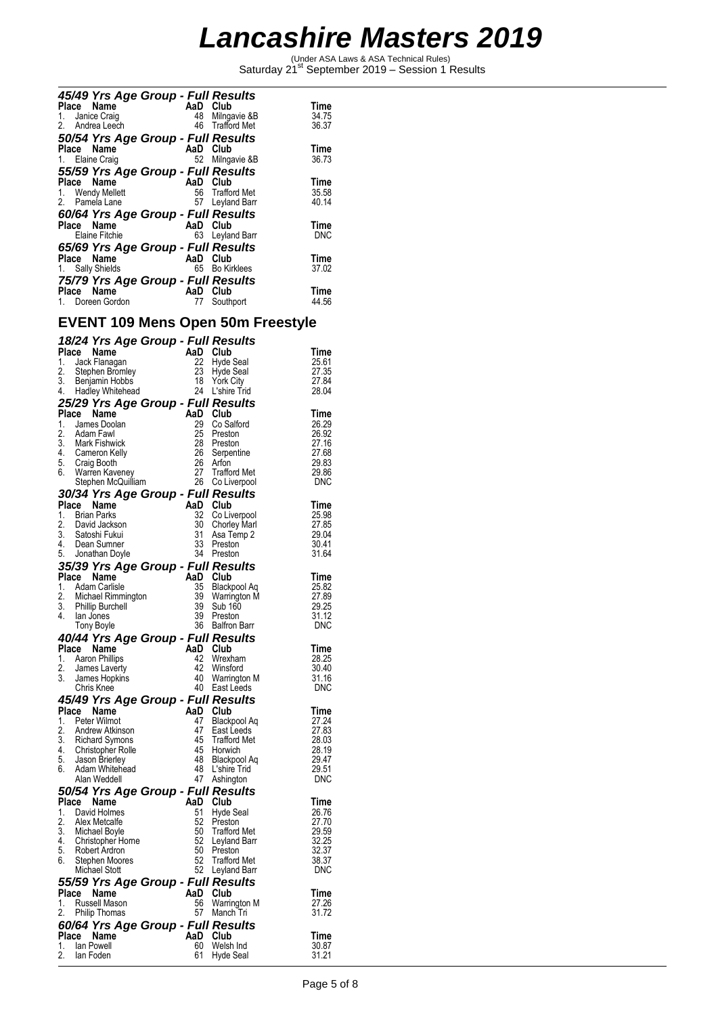Under ASA Laws & ASA Technical Rules)<br>Saturday 21<sup>st</sup> September 2019 – Session 1 Results

| 45/49 Yrs Age Group - Full Results |     |                    |            |
|------------------------------------|-----|--------------------|------------|
| Place Name                         |     | AaD Club           | Time       |
| 1. Janice Craig                    | 48  | Milngavie &B       | 34.75      |
| 2. Andrea Leech                    |     | 46 Trafford Met    | 36.37      |
| 50/54 Yrs Age Group - Full Results |     |                    |            |
| Place Name                         |     | AaD Club           | Time       |
| 1. Elaine Craig                    |     | 52 Milngavie &B    | 36.73      |
| 55/59 Yrs Age Group - Full Results |     |                    |            |
| Place Name                         |     | AaD Club           | Time       |
| 1. Wendy Mellett                   |     | 56 Trafford Met    | 35.58      |
| 2. Pamela Lane                     |     | 57 Leyland Barr    | 40.14      |
| 60/64 Yrs Age Group - Full Results |     |                    |            |
| Place Name                         |     | AaD Club           | Time       |
| Elaine Fitchie                     |     | 63 Leyland Barr    | <b>DNC</b> |
| 65/69 Yrs Age Group - Full Results |     |                    |            |
| Place Name                         |     | AaD Club           | Time       |
|                                    | 65  | <b>Bo Kirklees</b> | 37.02      |
| 1. Sally Shields                   |     |                    |            |
| 75/79 Yrs Age Group - Full Results |     |                    |            |
| Place Name                         | AaD | Club               | Time       |
| Doreen Gordon                      | 77  | Southport          | 44.56      |
|                                    |     |                    |            |

### **EVENT 109 Mens Open 50m Freestyle**

|                        |       | 18/24 Yrs Age Group - Full Results         |           |                         |                |
|------------------------|-------|--------------------------------------------|-----------|-------------------------|----------------|
| Place                  |       | Name                                       | AaD       | Club                    | Time           |
| 1.                     |       | Jack Flanagan                              | 22        | Hyde Seal               | 25.61          |
| 2.                     |       | Stephen Bromley                            | 23        | Hyde Seal               | 27.35          |
| 3.                     |       | Benjamin Hobbs                             | 18        | <b>York City</b>        | 27.84          |
| 4.                     |       | Hadley Whitehead                           |           | 24 L'shire Trid         | 28.04          |
|                        |       | 25/29 Yrs Age Group - Full Results         |           |                         |                |
| Place                  |       | Name                                       | AaD       | Club                    | Time           |
| 1.                     |       | James Doolan                               | 29        | Co Salford              | 26.29          |
| 2.                     |       | Adam Fawl                                  | 25        | Preston                 | 26.92          |
| 3.                     |       | Mark Fishwick                              | 28        | Preston                 | 27.16          |
| 4.                     |       | Cameron Kelly                              | 26        | Serpentine              | 27.68          |
| 5.                     |       | Craig Booth                                | 26        | Arfon                   | 29.83          |
| 6.                     |       | Warren Kaveney                             | 27        | <b>Trafford Met</b>     | 29.86          |
|                        |       | Stephen McQuilliam                         | 26        | Co Liverpool            | DNC            |
|                        |       | 30/34 Yrs Age Group - Full Results         |           |                         |                |
| Place                  |       | Name                                       | AaD       | Club                    | Time           |
| 1.                     |       | <b>Brian Parks</b>                         | 32        | Co Liverpool            | 25.98          |
| 2.                     |       | David Jackson                              | 30        | <b>Chorley Marl</b>     | 27.85          |
| 3.                     |       | Satoshi Fukui                              | 31        | Asa Temp 2              | 29.04          |
| 4.                     |       | Dean Sumner                                | 33        | Preston                 | 30.41          |
| 5.                     |       | Jonathan Doyle                             | 34        | Preston                 | 31.64          |
|                        |       | 35/39 Yrs Age Group - Full Results         |           |                         |                |
| Place                  |       | Name                                       | AaD       | Club                    | Time           |
| 1.                     |       | Adam Carlisle                              | 35        | Blackpool Aq            | 25.82          |
| 2.                     |       | Michael Rimmington                         | 39        | Warrington M            | 27.89          |
| 3.                     |       | <b>Phillip Burchell</b>                    | 39        | Sub 160                 | 29.25          |
| 4.                     |       | lan Jones                                  | 39        | Preston                 | 31.12          |
|                        |       | Tony Boyle                                 | 36        | <b>Balfron Barr</b>     | DNC            |
|                        |       | 40/44 Yrs Age Group - Full Results         |           |                         |                |
| Place                  |       | Name                                       | AaD       | Club                    | Time           |
| 1.                     |       | Aaron Phillips                             | 42        | Wrexham                 | 28.25          |
| 2.                     |       | James Laverty                              | 42        | Winsford                | 30.40          |
| 3.                     |       | James Hopkins                              | 40        | Warrington M            | 31.16          |
|                        |       | Chris Knee                                 | 40        | East Leeds              | <b>DNC</b>     |
|                        |       | 45/49 Yrs Age Group - Full Results         |           |                         |                |
| Place                  |       | Name                                       | AaD       | Club                    | Time           |
| 1.                     |       | Peter Wilmot                               | 47        | Blackpool Ag            | 27.24          |
| 2.                     |       | Andrew Atkinson                            | 47        | East Leeds              | 27.83          |
|                        |       | 3. Richard Symons                          | 45        | Trafford Met            | 28.03          |
|                        |       | 4. Christopher Rolle                       | 45        | Horwich                 | 28.19          |
| 5.                     |       | Jason Brierley                             | 48        | Blackpool Aq            | 29.47          |
| 6.                     |       | Adam Whitehead                             | 48        | L'shire Trid            | 29.51          |
|                        |       | Alan Weddell                               | 47        | Ashington               | DNC            |
|                        |       | 50/54 Yrs Age Group - Full Results         |           |                         |                |
|                        |       | Place Name                                 | AaD       | Club                    | Time           |
| 1.                     |       | David Holmes                               | 51        | <b>Hyde Seal</b>        | 26.76          |
| 2.<br>$\overline{3}$ . |       | Alex Metcalfe                              | 52<br>50  | Preston                 | 27.70          |
| 4.                     |       | Michael Boyle                              | 52        | <b>Trafford Met</b>     | 29.59<br>32.25 |
| 5.                     |       | Christopher Horne<br>Robert Ardron         | 50        | Leyland Barr<br>Preston | 32.37          |
| 6.                     |       | Stephen Moores                             | 52        | <b>Trafford Met</b>     | 38.37          |
|                        |       | Michael Stott                              | 52        | Leyland Barr            | DNC            |
|                        |       |                                            |           |                         |                |
| Place                  |       | 55/59 Yrs Age Group - Full Results<br>Name | AaD       | Club                    | Time           |
| 1.                     |       | Russell Mason                              | 56        | Warrington M            | 27.26          |
| 2.                     |       | <b>Philip Thomas</b>                       | 57        | Manch Tri               | 31.72          |
|                        |       |                                            |           |                         |                |
|                        |       | 60/64 Yrs Age Group - Full Results         |           |                         |                |
| 1.                     | Place | Name<br>lan Powell                         | AaD<br>60 | Club                    | Time           |
| 2.                     |       | lan Foden                                  | 61        | Welsh Ind<br>Hyde Seal  | 30.87<br>31.21 |
|                        |       |                                            |           |                         |                |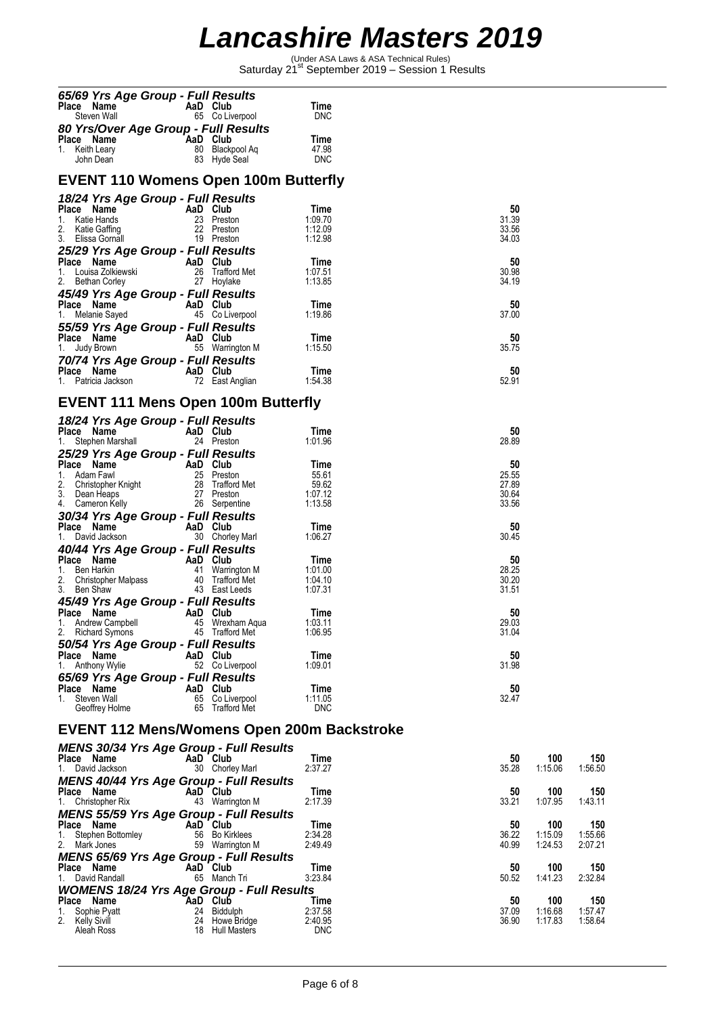Under ASA Laws & ASA Technical Rules)<br>Saturday 21<sup>st</sup> September 2019 – Session 1 Results

| 65/69 Yrs Age Group - Full Results<br>Place Name                                                                                                                                                                                 | AaD Club |                                    | Time                        |                |                |                |
|----------------------------------------------------------------------------------------------------------------------------------------------------------------------------------------------------------------------------------|----------|------------------------------------|-----------------------------|----------------|----------------|----------------|
| Steven Wall<br>80 Yrs/Over Age Group - Full Results                                                                                                                                                                              |          | 65 Co Liverpool                    | <b>DNC</b>                  |                |                |                |
| <b>Place Name</b><br>1. Keith Leary<br>John Dean<br>1. John Dean<br>1. Band B3 Hyde Seal                                                                                                                                         |          |                                    | Time<br>47.98               |                |                |                |
|                                                                                                                                                                                                                                  |          | 83 Hyde Seal                       | <b>DNC</b>                  |                |                |                |
| <b>EVENT 110 Womens Open 100m Butterfly</b>                                                                                                                                                                                      |          |                                    |                             |                |                |                |
| 18/24 Yrs Age Group - Full Results                                                                                                                                                                                               |          |                                    | Time                        | 50             |                |                |
| <b>Place Name</b><br>1. Katie Hands<br>2. Katie Gaffing<br>3. Elissa Gornall<br>3. Elissa Gornall<br>19 Preston                                                                                                                  |          |                                    | 1:09.70<br>1:12.09          | 31.39<br>33.56 |                |                |
|                                                                                                                                                                                                                                  |          |                                    | 1:12.98                     | 34.03          |                |                |
| 25/29 Yrs Age Group - Full Results                                                                                                                                                                                               |          |                                    | Time                        | 50             |                |                |
| <b>Place Name<br/> 1.</b> Louisa Zolkiewski<br>26 Trafford Met<br>27 Hoylake<br>27 Hoylake                                                                                                                                       |          |                                    | 1:07.51<br>1:13.85          | 30.98<br>34.19 |                |                |
| 45/49 Yrs Age Group - Full Results                                                                                                                                                                                               |          |                                    | Time                        | 50             |                |                |
| <b>Place Name</b><br>1. Melanie Sayed <b>1. AaD Club</b><br>45 Co Liverpool                                                                                                                                                      |          |                                    | 1:19.86                     | 37.00          |                |                |
| 55/59 Yrs Age Group - Full Results<br>Place Name<br>AaD Club<br>55 Warrin                                                                                                                                                        |          |                                    | Time                        | 50             |                |                |
| 1. Judy Brown<br>70/74 Yrs Age Group - Full Results                                                                                                                                                                              |          | 55 Warrington M                    | 1:15.50                     | 35.75          |                |                |
| Place Name <b>AaD Club</b><br>1. Patricia Jackson <b>AaD Club</b><br>72 East A                                                                                                                                                   |          | 72 East Anglian                    | Time<br>1:54.38             | 50<br>52.91    |                |                |
| <b>EVENT 111 Mens Open 100m Butterfly</b>                                                                                                                                                                                        |          |                                    |                             |                |                |                |
| 18/24 Yrs Age Group - Full Results                                                                                                                                                                                               |          |                                    |                             |                |                |                |
| Place Name<br>1. Stephen Marshall                                                                                                                                                                                                | AaD Club | 24 Preston                         | Time<br>1:01.96             | 50<br>28.89    |                |                |
| 25/29 Yrs Age Group - Full Results                                                                                                                                                                                               |          |                                    |                             |                |                |                |
|                                                                                                                                                                                                                                  |          |                                    | Time<br>55.61               | 50<br>25.55    |                |                |
| Place Name<br>1. Adam Fawl<br>2. Christopher Knight<br>3. Dean Heaps<br>4. Cameron Kelly<br>2. Seppentine<br>2. Seppentine<br>2. Seppentine<br>2. Seppentine<br>2. Seppentine<br>2. Seppentine<br>2. Seppentine<br>2. Seppentine |          |                                    | 59.62<br>1:07.12<br>1:13.58 | 27.89<br>30.64 |                |                |
| 30/34 Yrs Age Group - Full Results                                                                                                                                                                                               |          |                                    |                             | 33.56          |                |                |
| Place Name<br>AaD Club<br>30 Chorle<br>1. David Jackson                                                                                                                                                                          |          | 30 Chorley Marl                    | Time<br>1:06.27             | 50<br>30.45    |                |                |
| 40/44 Yrs Age Group - Full Results                                                                                                                                                                                               |          |                                    | Time                        | 50             |                |                |
| <b>Place Name AaD Club</b><br>1. Ben Harkin 41 Warrington M<br>2. Christopher Malpass 40 Trafford Met<br>3. Ben Shaw 43 East Leeds                                                                                               |          |                                    | 1:01.00<br>1:04.10          | 28.25<br>30.20 |                |                |
| 3. Ben Shaw                                                                                                                                                                                                                      |          | 43 East Leeds                      | 1:07.31                     | 31.51          |                |                |
| 45/49 Yrs Age Group - Full Results<br>Place Name                                                                                                                                                                                 | AaD Club |                                    | Time                        | 50             |                |                |
| 1. Andrew Campbell<br>2. Richard Symons                                                                                                                                                                                          |          | 45 Wrexham Aqua<br>45 Trafford Met | 1:03.11<br>1:06.95          | 29.03<br>31.04 |                |                |
| 50/54 Yrs Age Group - Full Results<br>Place Name                                                                                                                                                                                 | AaD Club |                                    | Time                        | 50             |                |                |
| 1. Anthony Wylie<br>65/69 Yrs Age Group - Full Results                                                                                                                                                                           |          | 52 Co Liverpool                    | 1:09.01                     | 31.98          |                |                |
| Place Name<br>1. Steven Wall                                                                                                                                                                                                     | AaD Club | 65 Co Liverpool                    | Time<br>1:11.05             | 50<br>32.47    |                |                |
| Geoffrey Holme                                                                                                                                                                                                                   |          | 65 Trafford Met                    | <b>DNC</b>                  |                |                |                |
| EVENT 112 Mens/Womens Open 200m Backstroke                                                                                                                                                                                       |          |                                    |                             |                |                |                |
| <b>MENS 30/34 Yrs Age Group - Full Results</b><br>Place Name                                                                                                                                                                     |          |                                    | Time                        | 50             | 100            |                |
| 1. David Jackson                                                                                                                                                                                                                 | AaD Club | 30 Chorley Marl                    | 2:37.27                     | 35.28          | 1:15.06        | 150<br>1:56.50 |
| <b>MENS 40/44 Yrs Age Group - Full Results</b><br>Place Name                                                                                                                                                                     | AaD Club |                                    | Time                        | 50             | 100            | 150            |
| 1. Christopher Rix<br><b>MENS 55/59 Yrs Age Group - Full Results</b>                                                                                                                                                             |          | 43 Warrington M                    | 2:17.39                     | 33.21          | 1:07.95        | 1:43.11        |
| Place Name<br>Stephen Bottomley<br>1.                                                                                                                                                                                            | AaD Club | 56 Bo Kirklees                     | Time<br>2:34.28             | 50<br>36.22    | 100<br>1:15.09 | 150<br>1:55.66 |
| Mark Jones<br>2.                                                                                                                                                                                                                 |          | 59 Warrington M                    | 2:49.49                     | 40.99          | 1:24.53        | 2:07.21        |
| <b>MENS 65/69 Yrs Age Group - Full Results</b><br>Place Name                                                                                                                                                                     | AaD Club |                                    | Time                        | 50             | 100            | 150            |
| David Randall<br>1.<br><b>WOMENS 18/24 Yrs Age Group - Full Results</b>                                                                                                                                                          |          | 65 Manch Tri                       | 3:23.84                     | 50.52          | 1:41.23        | 2:32.84        |
| Place Name<br>Sophie Pyatt<br>1.                                                                                                                                                                                                 | AaD Club | 24 Biddulph                        | Time<br>2:37.58             | 50<br>37.09    | 100<br>1:16.68 | 150<br>1:57.47 |
| 2. Kelly Sivill<br>Aleah Ross                                                                                                                                                                                                    | 24       | Howe Bridge<br>18 Hull Masters     | 2:40.95<br><b>DNC</b>       | 36.90          | 1:17.83        | 1:58.64        |
|                                                                                                                                                                                                                                  |          |                                    |                             |                |                |                |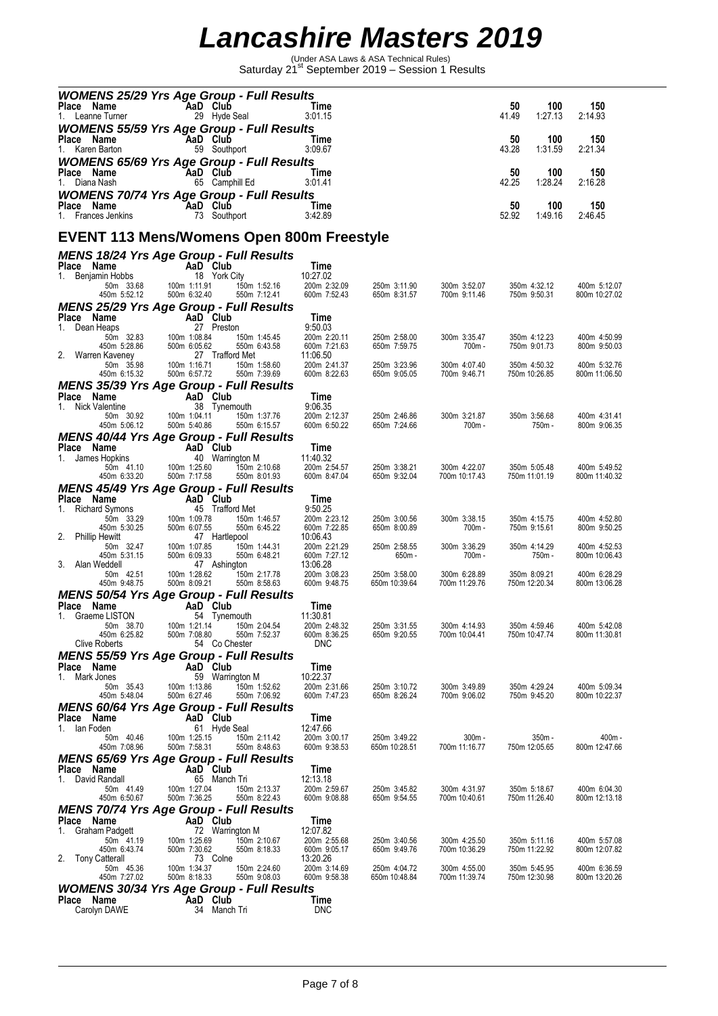Under ASA Laws & ASA Technical Rules)<br>Saturday 21<sup>st</sup> September 2019 – Session 1 Results

| <b>WOMENS 25/29 Yrs Age Group - Full Results</b>                                                                                            |                                                                                                                                                                                                                                                                          |                                                 |                              |                               |                               |             |                               |                               |
|---------------------------------------------------------------------------------------------------------------------------------------------|--------------------------------------------------------------------------------------------------------------------------------------------------------------------------------------------------------------------------------------------------------------------------|-------------------------------------------------|------------------------------|-------------------------------|-------------------------------|-------------|-------------------------------|-------------------------------|
| Place Name<br>1. Leanne Turner                                                                                                              |                                                                                                                                                                                                                                                                          | AaD Club<br><u>and the Time</u><br>29 Hyde Seal | 3:01.15                      |                               |                               | 50<br>41.49 | 100<br>1:27.13                | 150<br>2:14.93                |
| <b>WOMENS 55/59 Yrs Age Group - Full Results</b>                                                                                            |                                                                                                                                                                                                                                                                          |                                                 |                              |                               |                               |             |                               |                               |
| Place Name                                                                                                                                  |                                                                                                                                                                                                                                                                          | AaD Club                                        | Time                         |                               |                               | 50          | 100                           | 150                           |
| 1. Karen Barton                                                                                                                             |                                                                                                                                                                                                                                                                          | 59 Southport                                    | 3:09.67                      |                               |                               | 43.28       | 1:31.59                       | 2:21.34                       |
| <b>WOMENS 65/69 Yrs Age Group - Full Results</b>                                                                                            |                                                                                                                                                                                                                                                                          |                                                 |                              |                               |                               |             |                               |                               |
| Place Name<br>1. Diana Nash                                                                                                                 | AaD Club                                                                                                                                                                                                                                                                 | 65 Camphill Ed                                  | Time<br>3:01.41              |                               |                               | 50<br>42.25 | 100<br>1:28.24                | 150<br>2:16.28                |
| <b>WOMENS 70/74 Yrs Age Group - Full Results</b>                                                                                            |                                                                                                                                                                                                                                                                          |                                                 |                              |                               |                               |             |                               |                               |
| Place Name                                                                                                                                  | AaD Club                                                                                                                                                                                                                                                                 |                                                 | Time                         |                               |                               | 50          | 100                           | 150                           |
| 1. Frances Jenkins                                                                                                                          |                                                                                                                                                                                                                                                                          | 73 Southport                                    | 3:42.89                      |                               |                               | 52.92       | 1:49.16                       | 2:46.45                       |
| <b>EVENT 113 Mens/Womens Open 800m Freestyle</b>                                                                                            |                                                                                                                                                                                                                                                                          |                                                 |                              |                               |                               |             |                               |                               |
|                                                                                                                                             |                                                                                                                                                                                                                                                                          |                                                 |                              |                               |                               |             |                               |                               |
| <b>MENS 18/24 Yrs Age Group - Full Results</b>                                                                                              |                                                                                                                                                                                                                                                                          |                                                 | Time                         |                               |                               |             |                               |                               |
|                                                                                                                                             |                                                                                                                                                                                                                                                                          | 18 York City                                    | 10:27.02                     |                               |                               |             |                               |                               |
| <b>Place Name</b><br>1. Benjamin Hobbs<br>50m 33.68<br>450m 5:52.12<br>100m 1:11.91<br>1.1.91<br>1.1.91<br>1.1.91<br>1.1.91<br>500m 6:32.40 |                                                                                                                                                                                                                                                                          | $1.52.16$<br>550m 7:12.41                       | 200m 2:32.09                 | 250m 3:11.90                  | 300m 3:52.07                  |             | 350m 4:32.12                  | 400m 5:12.07                  |
| MENS 25/29 Yrs Age Group - Full Results                                                                                                     |                                                                                                                                                                                                                                                                          |                                                 | 600m 7:52.43                 | 650m 8:31.57                  | 700m 9:11.46                  |             | 750m 9:50.31                  | 800m 10:27.02                 |
| Place Name                                                                                                                                  | <b>And Club</b><br><b>And Club</b><br>Heaps 27 Prestor<br>50m 32.83<br>450m 5:28.86<br>100m 1:08.84<br>450m 5:28.86<br>m Kaveney<br>100m 1:08.84<br>100m 1:08.84<br>100m 1:08.84<br>100m 1:08.84<br>100m 1:08.84<br>100m 1:08.7<br>17affor<br>50m 6:55.32<br>500m 6:57.7 |                                                 | Time                         |                               |                               |             |                               |                               |
| 1. Dean Heaps                                                                                                                               |                                                                                                                                                                                                                                                                          | 27 Preston                                      | 9:50.03                      |                               |                               |             |                               |                               |
|                                                                                                                                             |                                                                                                                                                                                                                                                                          | 150m 1:45.45<br>550m 6:43.58                    | 200m 2:20.11<br>600m 7:21.63 | 250m 2:58.00<br>650m 7:59.75  | 300m 3:35.47<br>700m -        |             | 350m 4:12.23<br>750m 9:01.73  | 400m 4:50.99<br>800m 9:50.03  |
| 2. Warren Kaveney                                                                                                                           |                                                                                                                                                                                                                                                                          | 27 Trafford Met                                 | 11:06.50                     |                               |                               |             |                               |                               |
| 450m 6:15.32                                                                                                                                | 500m 6:57.72                                                                                                                                                                                                                                                             | 150m 1:58.60<br>550m 7:39.69                    | 200m 2:41.37<br>600m 8:22.63 | 250m 3:23.96<br>650m 9:05.05  | 300m 4:07.40<br>700m 9:46.71  |             | 350m 4:50.32<br>750m 10:26.85 | 400m 5:32.76<br>800m 11:06.50 |
| <b>MENS 35/39 Yrs Age Group - Full Results</b>                                                                                              |                                                                                                                                                                                                                                                                          |                                                 |                              |                               |                               |             |                               |                               |
| Place Name                                                                                                                                  |                                                                                                                                                                                                                                                                          |                                                 | Time                         |                               |                               |             |                               |                               |
| 1. Nick Valentine                                                                                                                           | <b>AaD Club</b><br>38 Tynem<br>0.92 100m 1:04.11<br>6.12 500m 5:40.86                                                                                                                                                                                                    | 38 Tynemouth                                    | 9:06.35                      |                               |                               |             |                               |                               |
| 50m 30.92<br>450m 5:06.12                                                                                                                   | 500m 5:40.86                                                                                                                                                                                                                                                             | 150m 1:37.76<br>550m 6:15.57                    | 200m 2:12.37<br>600m 6:50.22 | 250m 2:46.86<br>650m 7:24.66  | 300m 3:21.87<br>700m -        |             | 350m 3:56.68<br>750m -        | 400m 4:31.41<br>800m 9:06.35  |
| <b>MENS 40/44 Yrs Age Group - Full Results</b>                                                                                              |                                                                                                                                                                                                                                                                          |                                                 |                              |                               |                               |             |                               |                               |
| Place Name                                                                                                                                  | <b>AD</b> Club<br>40 Warrin<br>41.10 100m 1:25.60<br>33.20 500m 7:17.58                                                                                                                                                                                                  |                                                 | Time                         |                               |                               |             |                               |                               |
| 1. James Hopkins<br>50m 41.10                                                                                                               |                                                                                                                                                                                                                                                                          | 40 Warrington M<br>150m 2:10.68                 | 11:40.32<br>200m 2:54.57     | 250m 3:38.21                  | 300m 4:22.07                  |             | 350m 5:05.48                  | 400m 5:49.52                  |
| 450m 6:33.20                                                                                                                                | 500m 7:17.58                                                                                                                                                                                                                                                             | 550m 8:01.93                                    | 600m 8:47.04                 | 650m 9:32.04                  | 700m 10:17.43                 |             | 750m 11:01.19                 | 800m 11:40.32                 |
| <b>MENS 45/49 Yrs Age Group - Full Results</b>                                                                                              |                                                                                                                                                                                                                                                                          |                                                 |                              |                               |                               |             |                               |                               |
| Place Name<br>1. Richard Symons                                                                                                             | <b>AaD Club</b><br>3.29 100m 1:09.78<br>3.29 100m 1:09.78<br>3.25 500m 6:07.55                                                                                                                                                                                           | 45 Trafford Met                                 | Time<br>9:50.25              |                               |                               |             |                               |                               |
| 50m 33.29                                                                                                                                   |                                                                                                                                                                                                                                                                          | 150m 1:46.57                                    | 200m 2:23.12                 | 250m 3:00.56                  | 300m 3:38.15                  |             | 350m 4:15.75                  | 400m 4:52.80                  |
| 450m 5:30.25                                                                                                                                |                                                                                                                                                                                                                                                                          | 550m 6:45.22                                    | 600m 7:22.85                 | 650m 8:00.89                  | 700m -                        |             | 750m 9:15.61                  | 800m 9:50.25                  |
| 2. Phillip Hewitt<br>50m 32.47                                                                                                              |                                                                                                                                                                                                                                                                          | 47 Hartlepool<br>150m 1:44.31                   | 10:06.43<br>200m 2:21.29     | 250m 2:58.55                  | 300m 3:36.29                  |             | 350m 4:14.29                  | 400m 4:52.53                  |
| 450m 5:31.15                                                                                                                                | 100m 1:07.85<br>500m 6:09.33<br>500m 6:09.33                                                                                                                                                                                                                             | 550m 6:48.21                                    | 600m 7:27.12                 | 650m -                        | $700m -$                      |             | 750m -                        | 800m 10:06.43                 |
| 3. Alan Weddell<br>50m 42.51                                                                                                                |                                                                                                                                                                                                                                                                          | 47 Ashington                                    | 13:06.28<br>200m 3:08.23     | 250m 3:58.00                  | 300m 6:28.89                  |             | 350m 8:09.21                  | 400m 6:28.29                  |
| 450m 9:48.75                                                                                                                                |                                                                                                                                                                                                                                                                          |                                                 | 600m 9:48.75                 | 650m 10:39.64                 | 700m 11:29.76                 |             | 750m 12:20.34                 | 800m 13:06.28                 |
| <b>MENS 50/54 Yrs Age Group - Full Results</b>                                                                                              |                                                                                                                                                                                                                                                                          |                                                 |                              |                               |                               |             |                               |                               |
| Place Name<br>1. Graeme LISTON                                                                                                              | AaD Club                                                                                                                                                                                                                                                                 | 54 Tynemouth                                    | Time<br>11:30.81             |                               |                               |             |                               |                               |
| 50m 38.70                                                                                                                                   | 100m 1:21.14                                                                                                                                                                                                                                                             | 150m 2:04.54                                    | 200m 2:48.32                 | 250m 3:31.55                  | 300m 4:14.93                  |             | 350m 4:59.46                  | 400m 5:42.08                  |
| 450m 6:25.82<br>Clive Roberts                                                                                                               | 500m 7:08.80                                                                                                                                                                                                                                                             | 550m 7:52.37<br>54 Co Chester                   | 600m 8:36.25<br><b>DNC</b>   | 650m 9:20.55                  | 700m 10:04.41                 |             | 750m 10:47.74                 | 800m 11:30.81                 |
| <b>MENS 55/59 Yrs Age Group - Full Results</b>                                                                                              |                                                                                                                                                                                                                                                                          |                                                 |                              |                               |                               |             |                               |                               |
| Place Name                                                                                                                                  |                                                                                                                                                                                                                                                                          | AaD Club                                        | Time                         |                               |                               |             |                               |                               |
| Mark Jones<br>1.<br>50m 35.43                                                                                                               | 100m 1:13.86                                                                                                                                                                                                                                                             | 59 Warrington M<br>150m 1:52.62                 | 10:22.37<br>200m 2:31.66     | 250m 3:10.72                  | 300m 3:49.89                  |             | 350m 4:29.24                  | 400m 5:09.34                  |
| 450m 5:48.04                                                                                                                                | 500m 6:27.46                                                                                                                                                                                                                                                             | 550m 7:06.92                                    | 600m 7:47.23                 | 650m 8:26.24                  | 700m 9:06.02                  |             | 750m 9:45.20                  | 800m 10:22.37                 |
| <b>MENS 60/64 Yrs Age Group - Full Results</b>                                                                                              |                                                                                                                                                                                                                                                                          |                                                 |                              |                               |                               |             |                               |                               |
| Place Name<br>lan Foden<br>1.                                                                                                               |                                                                                                                                                                                                                                                                          | AaD Club                                        | Time<br>12:47.66             |                               |                               |             |                               |                               |
| 50m 40.46                                                                                                                                   | 100m 1:25.15                                                                                                                                                                                                                                                             | 61 Hyde Seal<br>150m 2:11.42                    | 200m 3:00.17                 | 250m 3:49.22                  | $300m -$                      |             | 350m -                        | 400m -                        |
| 450m 7:08.96                                                                                                                                | 500m 7:58.31                                                                                                                                                                                                                                                             | 550m 8:48.63                                    | 600m 9:38.53                 | 650m 10:28.51                 | 700m 11:16.77                 |             | 750m 12:05.65                 | 800m 12:47.66                 |
| <b>MENS 65/69 Yrs Age Group - Full Results</b>                                                                                              |                                                                                                                                                                                                                                                                          | AaD Club                                        |                              |                               |                               |             |                               |                               |
| Place<br>Name<br>1. David Randall                                                                                                           |                                                                                                                                                                                                                                                                          | 65 Manch Tri                                    | Time<br>12:13.18             |                               |                               |             |                               |                               |
| 50m 41.49                                                                                                                                   | 100m 1:27.04                                                                                                                                                                                                                                                             | 150m 2:13.37                                    | 200m 2:59.67                 | 250m 3:45.82                  | 300m 4:31.97                  |             | 350m 5:18.67                  | 400m 6:04.30                  |
| 450m 6:50.67                                                                                                                                | 500m 7:36.25                                                                                                                                                                                                                                                             | 550m 8:22.43                                    | 600m 9:08.88                 | 650m 9:54.55                  | 700m 10:40.61                 |             | 750m 11:26.40                 | 800m 12:13.18                 |
| <b>MENS 70/74 Yrs Age Group - Full Results</b><br>Place<br>Name                                                                             |                                                                                                                                                                                                                                                                          | AaD Club                                        | Time                         |                               |                               |             |                               |                               |
| Graham Padgett<br>1.                                                                                                                        |                                                                                                                                                                                                                                                                          | 72 Warrington M                                 | 12:07.82                     |                               |                               |             |                               |                               |
| 50m 41.19<br>450m 6:43.74                                                                                                                   | 100m 1:25.69<br>500m 7:30.62                                                                                                                                                                                                                                             | 150m 2:10.67<br>550m 8:18.33                    | 200m 2:55.68<br>600m 9:05.17 | 250m 3:40.56<br>650m 9:49.76  | 300m 4:25.50<br>700m 10:36.29 |             | 350m 5:11.16<br>750m 11:22.92 | 400m 5:57.08<br>800m 12:07.82 |
| 2. Tony Catterall                                                                                                                           |                                                                                                                                                                                                                                                                          | 73 Colne                                        | 13:20.26                     |                               |                               |             |                               |                               |
| 50m 45.36<br>450m 7:27.02                                                                                                                   | 100m 1:34.37<br>500m 8:18.33                                                                                                                                                                                                                                             | 150m 2:24.60<br>550m 9:08.03                    | 200m 3:14.69<br>600m 9:58.38 | 250m 4:04.72<br>650m 10:48.84 | 300m 4:55.00<br>700m 11:39.74 |             | 350m 5:45.95<br>750m 12:30.98 | 400m 6:36.59<br>800m 13:20.26 |
| <b>WOMENS 30/34 Yrs Age Group - Full Results</b>                                                                                            |                                                                                                                                                                                                                                                                          |                                                 |                              |                               |                               |             |                               |                               |
| Place Name                                                                                                                                  |                                                                                                                                                                                                                                                                          | AaD Club                                        | Time                         |                               |                               |             |                               |                               |
| Carolyn DAWE                                                                                                                                |                                                                                                                                                                                                                                                                          | 34 Manch Tri                                    | <b>DNC</b>                   |                               |                               |             |                               |                               |